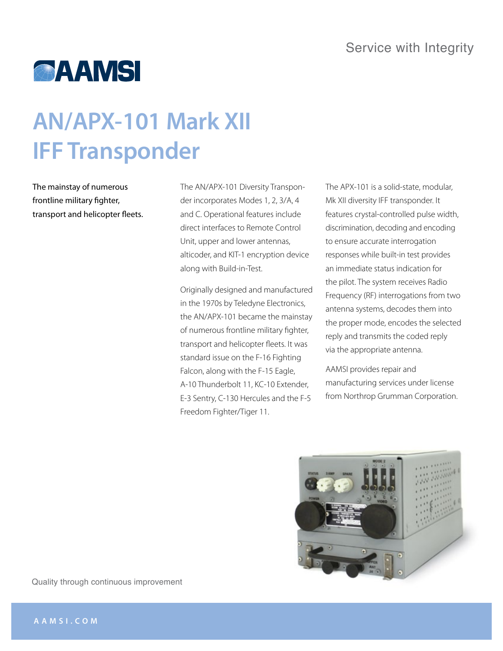

## **AN/APX-101 Mark XII IFF Transponder**

The mainstay of numerous frontline military fighter, transport and helicopter fleets. The AN/APX-101 Diversity Transponder incorporates Modes 1, 2, 3/A, 4 and C. Operational features include direct interfaces to Remote Control Unit, upper and lower antennas, alticoder, and KIT-1 encryption device along with Build-in-Test.

Originally designed and manufactured in the 1970s by Teledyne Electronics, the AN/APX-101 became the mainstay of numerous frontline military fighter, transport and helicopter fleets. It was standard issue on the F-16 Fighting Falcon, along with the F-15 Eagle, A-10 Thunderbolt 11, KC-10 Extender, E-3 Sentry, C-130 Hercules and the F-5 Freedom Fighter/Tiger 11.

The APX-101 is a solid-state, modular, Mk XII diversity IFF transponder. It features crystal-controlled pulse width, discrimination, decoding and encoding to ensure accurate interrogation responses while built-in test provides an immediate status indication for the pilot. The system receives Radio Frequency (RF) interrogations from two antenna systems, decodes them into the proper mode, encodes the selected reply and transmits the coded reply via the appropriate antenna.

AAMSI provides repair and manufacturing services under license from Northrop Grumman Corporation.



Quality through continuous improvement